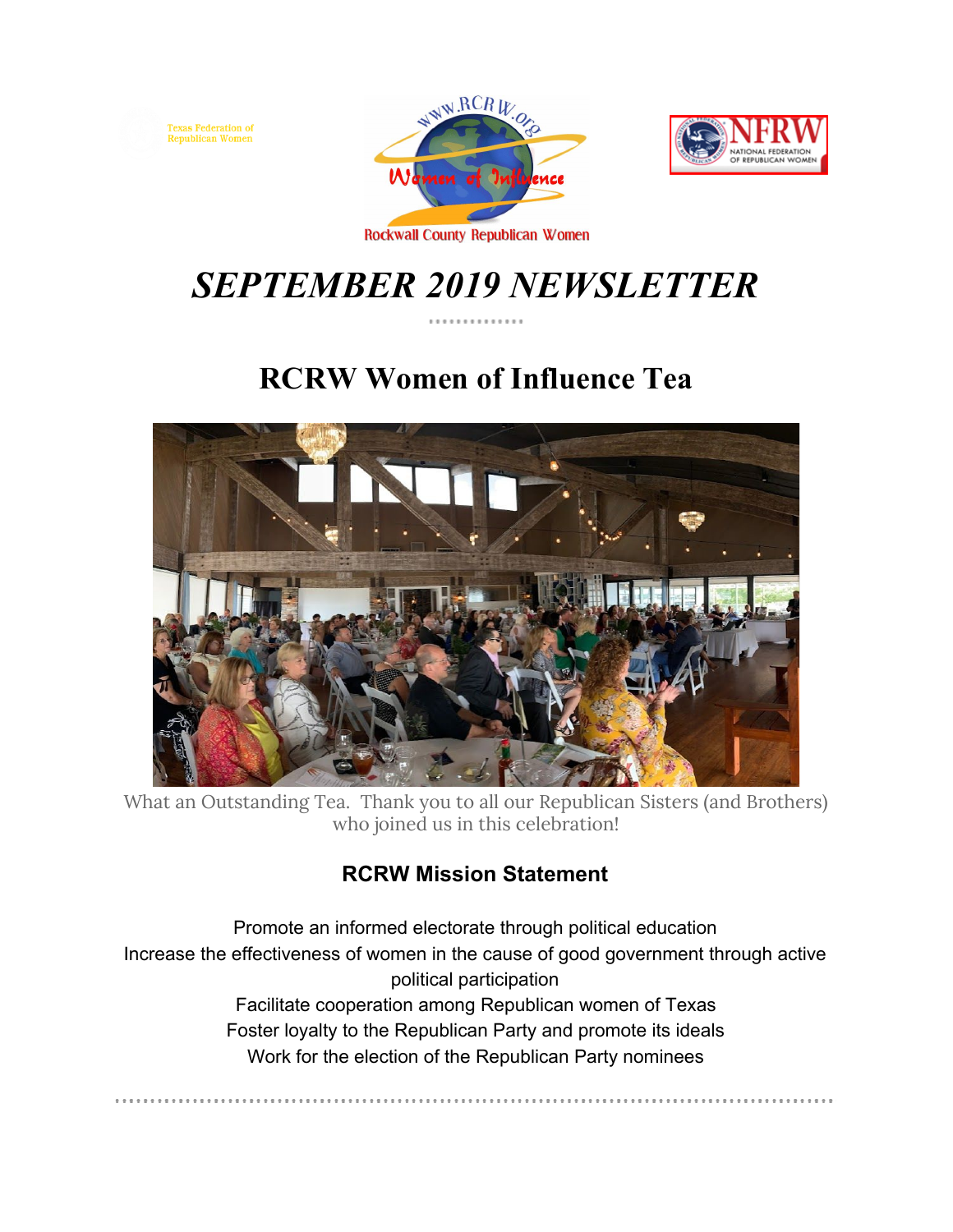





. . . . . . . . . . . . . . . . . .

**Rockwall County Republican Women** 

# *SEPTEMBER 2019 NEWSLETTER*

## **RCRW Women of Influence Tea**



What an Outstanding Tea. Thank you to all our Republican Sisters (and Brothers) who joined us in this celebration!

## **RCRW Mission Statement**

Promote an informed electorate through political education Increase the effectiveness of women in the cause of good government through active political participation Facilitate cooperation among Republican women of Texas Foster loyalty to the Republican Party and promote its ideals Work for the election of the Republican Party nominees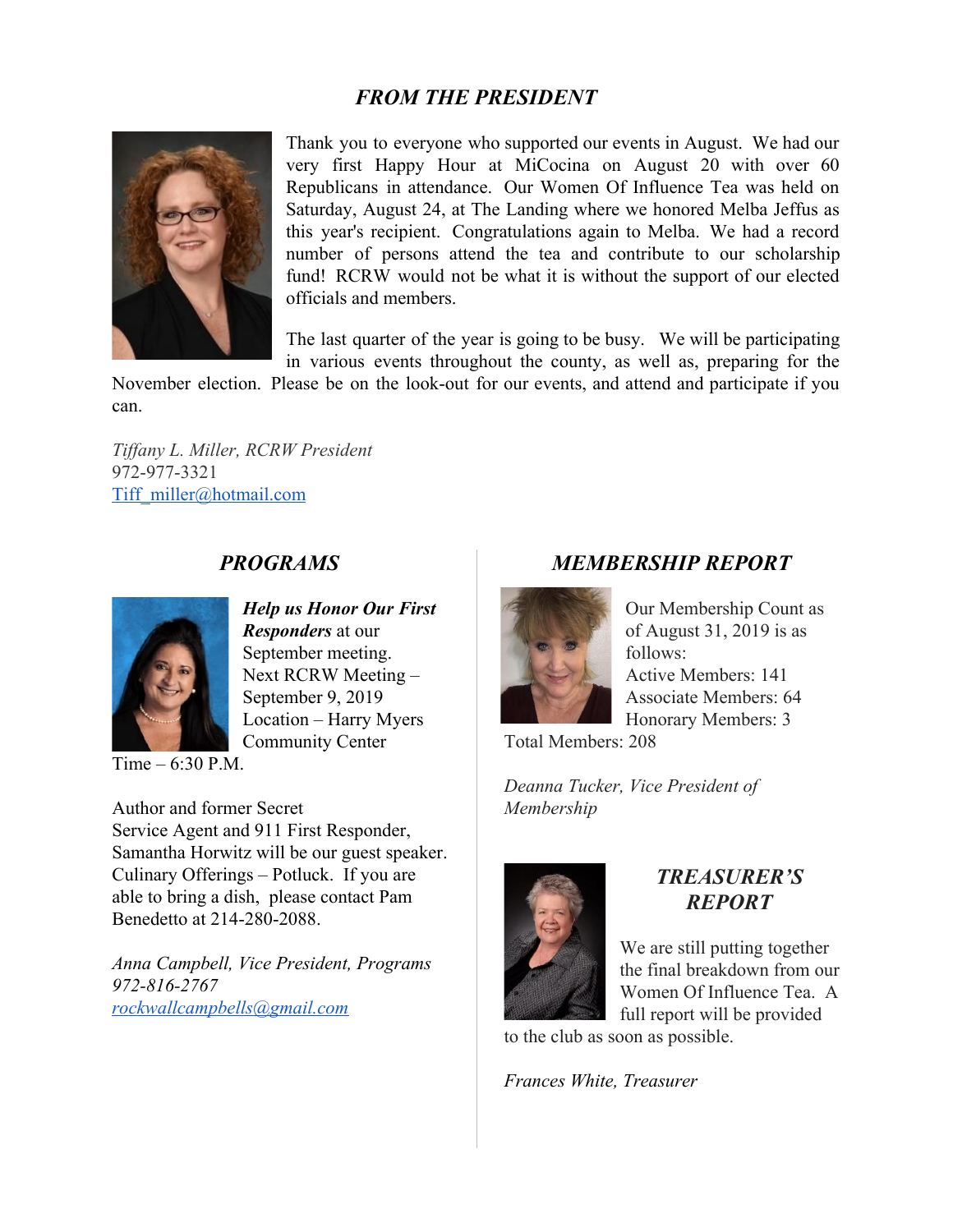## *FROM THE PRESIDENT*



Thank you to everyone who supported our events in August. We had our very first Happy Hour at MiCocina on August 20 with over 60 Republicans in attendance. Our Women Of Influence Tea was held on Saturday, August 24, at The Landing where we honored Melba Jeffus as this year's recipient. Congratulations again to Melba. We had a record number of persons attend the tea and contribute to our scholarship fund! RCRW would not be what it is without the support of our elected officials and members.

The last quarter of the year is going to be busy. We will be participating in various events throughout the county, as well as, preparing for the

November election. Please be on the look-out for our events, and attend and participate if you can.

*Tiffany L. Miller, RCRW President* 972-977-3321 [Tiff\\_miller@hotmail.com](mailto:Tiff_miller@hotmail.com)

### *PROGRAMS*



*Help us Honor Our First Responders* at our September meeting. Next RCRW Meeting – September 9, 2019 Location – Harry Myers Community Center

Time – 6:30 P.M.

Author and former Secret Service Agent and 911 First Responder, Samantha Horwitz will be our guest speaker. Culinary Offerings – Potluck. If you are able to bring a dish, please contact Pam Benedetto at 214-280-2088.

*Anna Campbell, Vice President, Programs 972-816-2767 [rockwallcampbells@gmail.com](mailto:rockwallcampbells@gmail.com)*

## *MEMBERSHIP REPORT*



Our Membership Count as of August 31, 2019 is as follows: Active Members: 141 Associate Members: 64 Honorary Members: 3

Total Members: 208

*Deanna Tucker, Vice President of Membership*



#### *TREASURER'S REPORT*

We are still putting together the final breakdown from our Women Of Influence Tea. A full report will be provided

to the club as soon as possible.

*Frances White, Treasurer*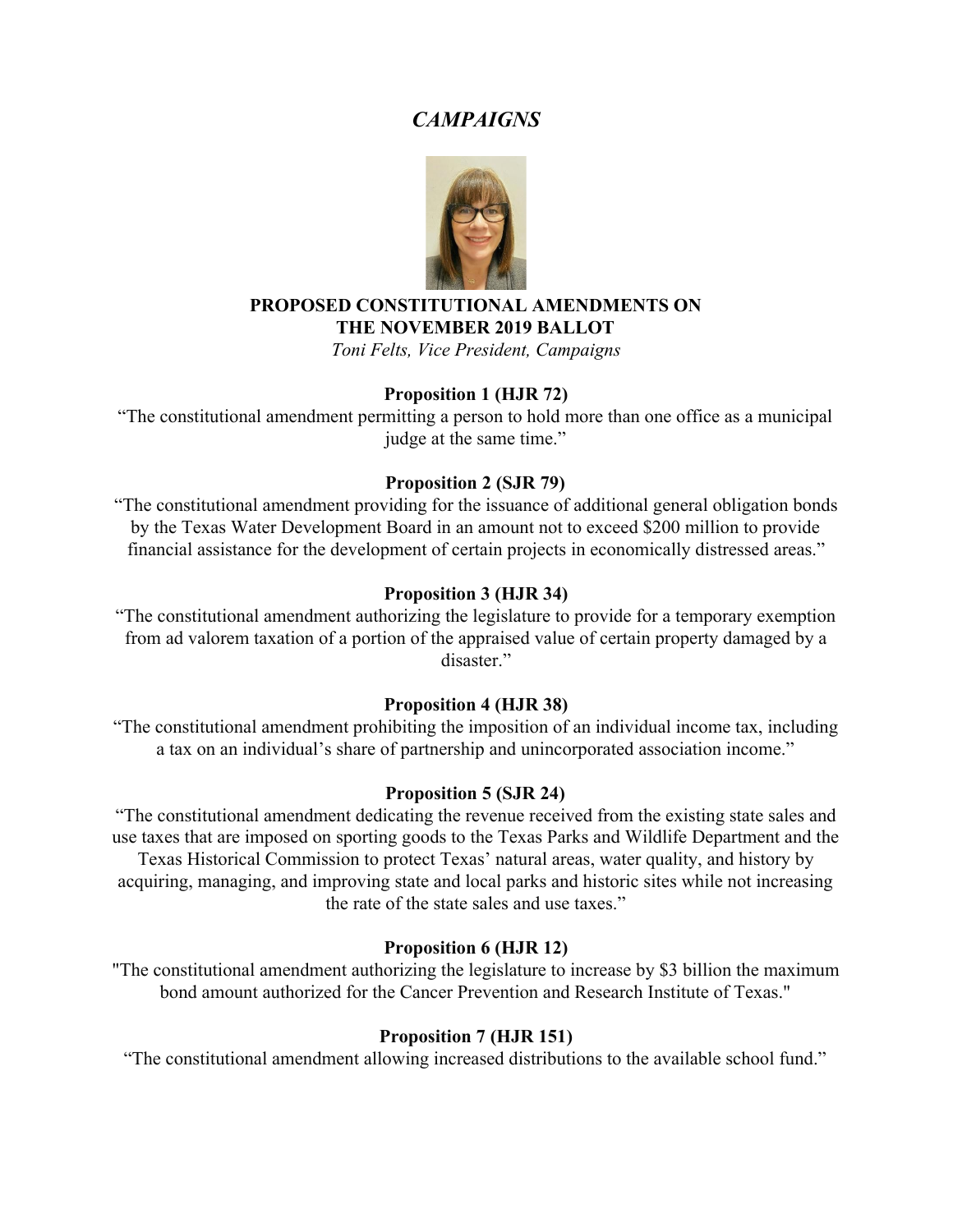### *CAMPAIGNS*



#### **PROPOSED CONSTITUTIONAL AMENDMENTS ON THE NOVEMBER 2019 BALLOT**

*Toni Felts, Vice President, Campaigns*

#### **Proposition 1 (HJR 72)**

"The constitutional amendment permitting a person to hold more than one office as a municipal judge at the same time."

#### **Proposition 2 (SJR 79)**

"The constitutional amendment providing for the issuance of additional general obligation bonds by the Texas Water Development Board in an amount not to exceed \$200 million to provide financial assistance for the development of certain projects in economically distressed areas."

#### **Proposition 3 (HJR 34)**

"The constitutional amendment authorizing the legislature to provide for a temporary exemption from ad valorem taxation of a portion of the appraised value of certain property damaged by a disaster."

#### **Proposition 4 (HJR 38)**

"The constitutional amendment prohibiting the imposition of an individual income tax, including a tax on an individual's share of partnership and unincorporated association income."

#### **Proposition 5 (SJR 24)**

"The constitutional amendment dedicating the revenue received from the existing state sales and use taxes that are imposed on sporting goods to the Texas Parks and Wildlife Department and the Texas Historical Commission to protect Texas' natural areas, water quality, and history by acquiring, managing, and improving state and local parks and historic sites while not increasing the rate of the state sales and use taxes."

#### **Proposition 6 (HJR 12)**

"The constitutional amendment authorizing the legislature to increase by \$3 billion the maximum bond amount authorized for the Cancer Prevention and Research Institute of Texas."

#### **Proposition 7 (HJR 151)**

"The constitutional amendment allowing increased distributions to the available school fund."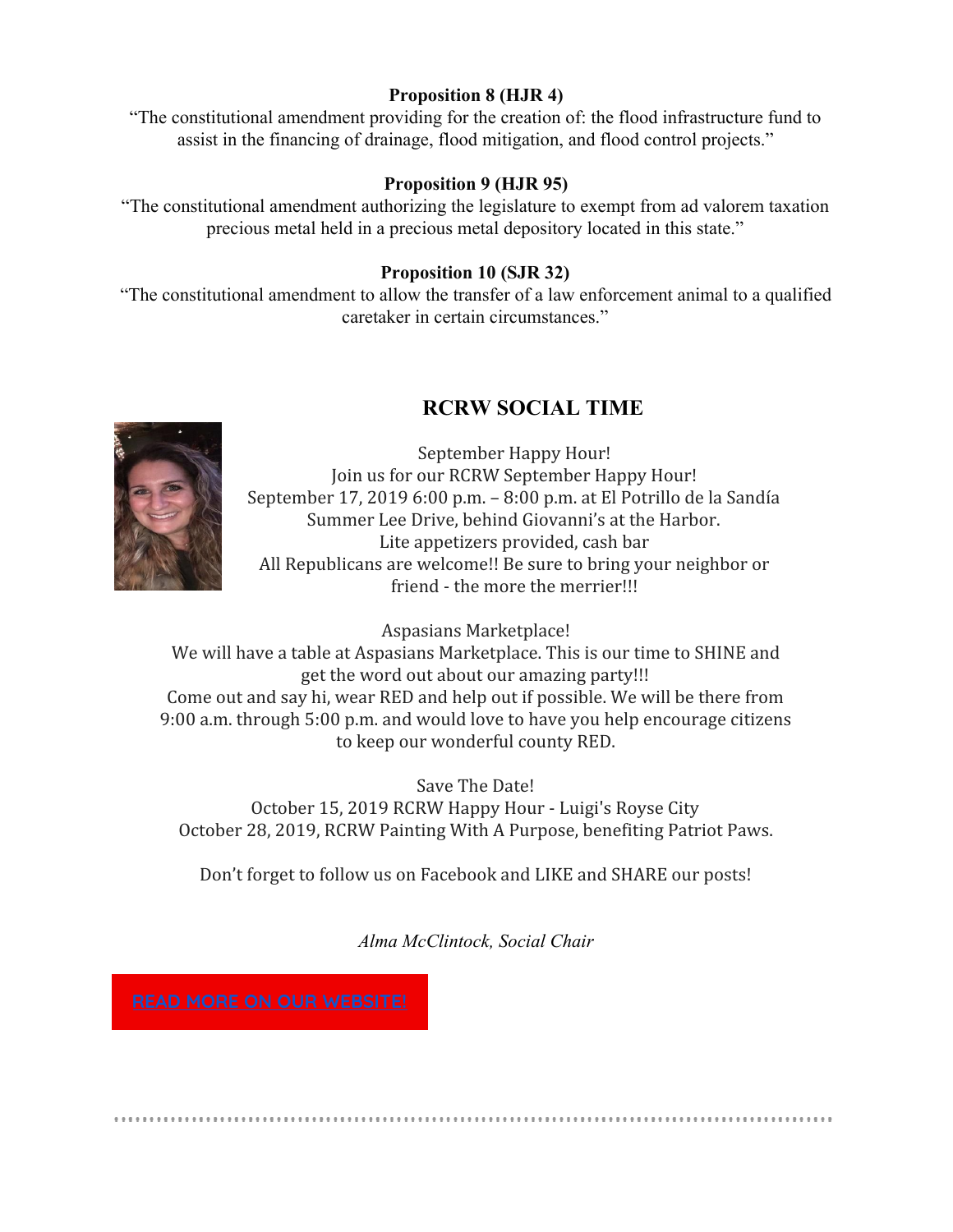#### **Proposition 8 (HJR 4)**

"The constitutional amendment providing for the creation of: the flood infrastructure fund to assist in the financing of drainage, flood mitigation, and flood control projects."

#### **Proposition 9 (HJR 95)**

"The constitutional amendment authorizing the legislature to exempt from ad valorem taxation precious metal held in a precious metal depository located in this state."

#### **Proposition 10 (SJR 32)**

"The constitutional amendment to allow the transfer of a law enforcement animal to a qualified caretaker in certain circumstances."

## **RCRW SOCIAL TIME**



September Happy Hour! Join us for our RCRW September Happy Hour! September 17, 2019 6:00 p.m. – 8:00 p.m. at El Potrillo de la Sandía Summer Lee Drive, behind Giovanni's at the Harbor. Lite appetizers provided, cash bar All Republicans are welcome!! Be sure to bring your neighbor or friend - the more the merrier!!!

Aspasians Marketplace!

We will have a table at Aspasians Marketplace. This is our time to SHINE and get the word out about our amazing party!!! Come out and say hi, wear RED and help out if possible. We will be there from 9:00 a.m. through 5:00 p.m. and would love to have you help encourage citizens to keep our wonderful county RED.

Save The Date! October 15, 2019 RCRW Happy Hour - Luigi's Royse City October 28, 2019, RCRW Painting With A Purpose, benefiting Patriot Paws.

Don't forget to follow us on Facebook and LIKE and SHARE our posts!

*Alma McClintock, Social Chair*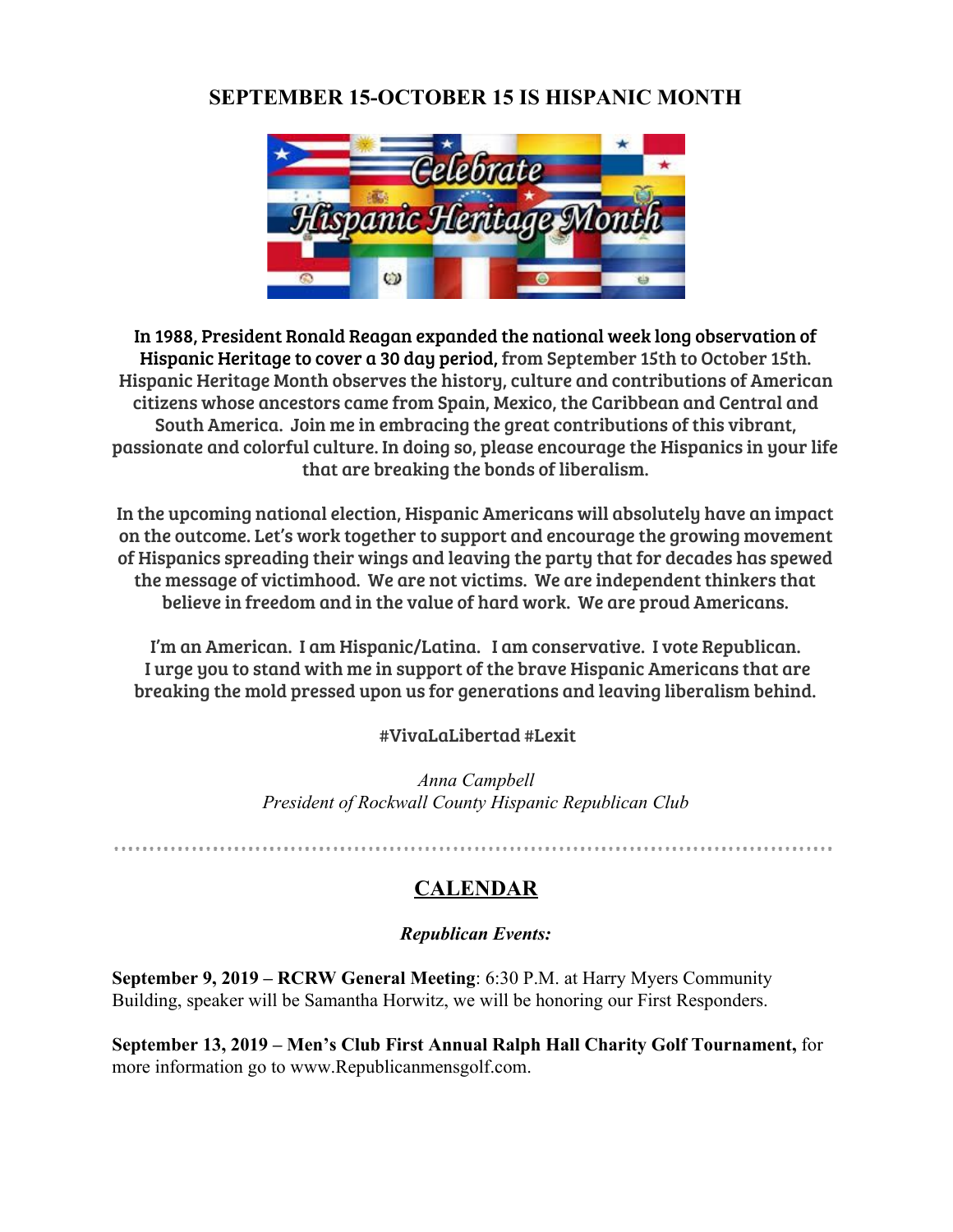## **SEPTEMBER 15-OCTOBER 15 IS HISPANIC MONTH**



In 1988, President Ronald Reagan expanded the national week long observation of Hispanic Heritage to cover a 30 day period, from September 15th to October 15th. Hispanic Heritage Month observes the history, culture and contributions of American citizens whose ancestors came from Spain, Mexico, the Caribbean and Central and South America. Join me in embracing the great contributions of this vibrant, passionate and colorful culture. In doing so, please encourage the Hispanics in your life that are breaking the bonds of liberalism.

In the upcoming national election, Hispanic Americans will absolutely have an impact on the outcome. Let's work together to support and encourage the growing movement of Hispanics spreading their wings and leaving the party that for decades has spewed the message of victimhood. We are not victims. We are independent thinkers that believe in freedom and in the value of hard work. We are proud Americans.

I'm an American. I am Hispanic/Latina. I am conservative. I vote Republican. I urge you to stand with me in support of the brave Hispanic Americans that are breaking the mold pressed upon us for generations and leaving liberalism behind.

#VivaLaLibertad #Lexit

*Anna Campbell President of Rockwall County Hispanic Republican Club*

## **CALENDAR**

#### *Republican Events:*

**September 9, 2019 – RCRW General Meeting**: 6:30 P.M. at Harry Myers Community Building, speaker will be Samantha Horwitz, we will be honoring our First Responders.

**September 13, 2019 – Men's Club First Annual Ralph Hall Charity Golf Tournament,** for more information go to www.Republicanmensgolf.com.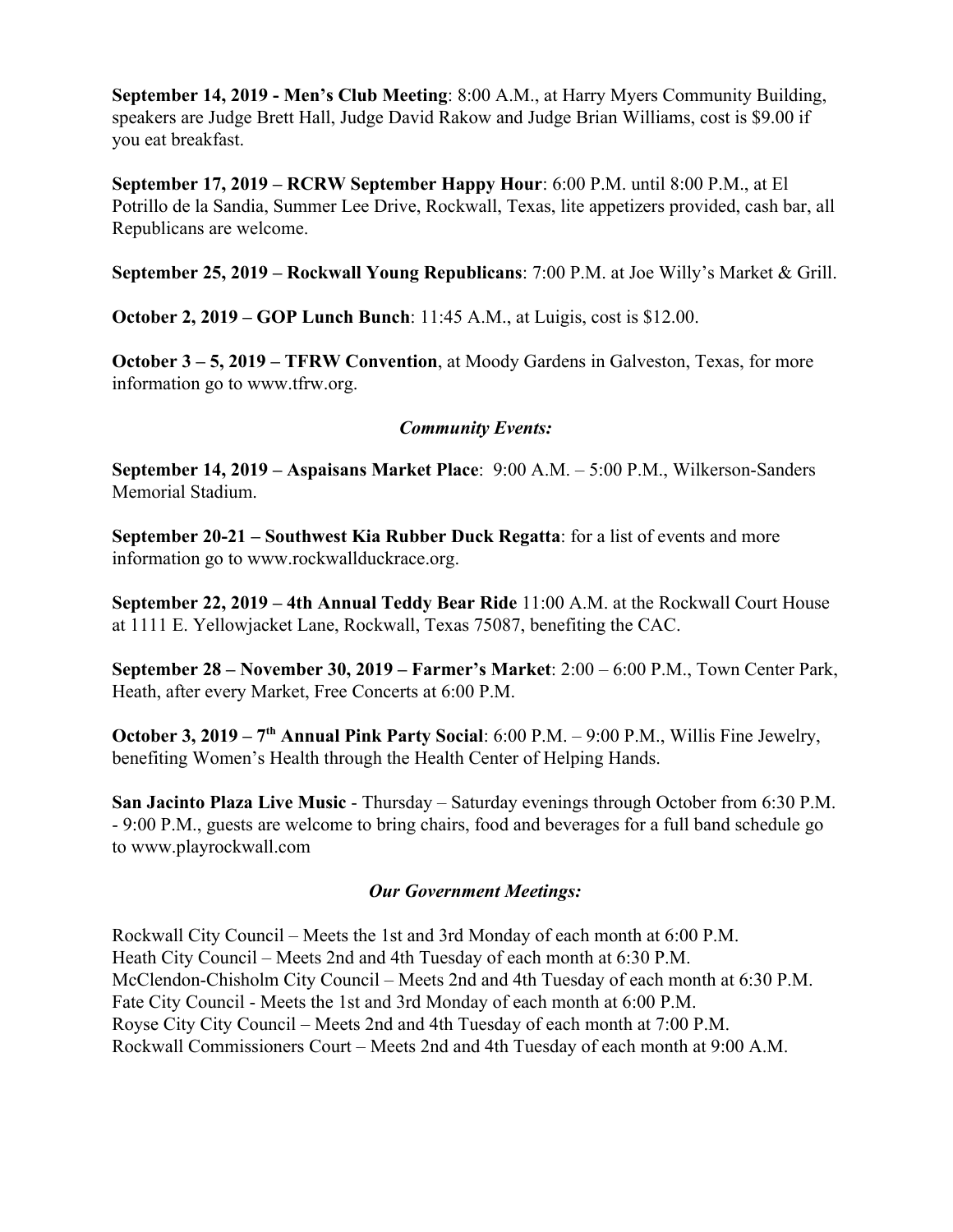**September 14, 2019 - Men's Club Meeting**: 8:00 A.M., at Harry Myers Community Building, speakers are Judge Brett Hall, Judge David Rakow and Judge Brian Williams, cost is \$9.00 if you eat breakfast.

**September 17, 2019 – RCRW September Happy Hour**: 6:00 P.M. until 8:00 P.M., at El Potrillo de la Sandia, Summer Lee Drive, Rockwall, Texas, lite appetizers provided, cash bar, all Republicans are welcome.

**September 25, 2019 – Rockwall Young Republicans**: 7:00 P.M. at Joe Willy's Market & Grill.

**October 2, 2019 – GOP Lunch Bunch**: 11:45 A.M., at Luigis, cost is \$12.00.

**October 3 – 5, 2019 – TFRW Convention**, at Moody Gardens in Galveston, Texas, for more information go to www.tfrw.org.

#### *Community Events:*

**September 14, 2019 – Aspaisans Market Place**: 9:00 A.M. – 5:00 P.M., Wilkerson-Sanders Memorial Stadium.

**September 20-21 – Southwest Kia Rubber Duck Regatta**: for a list of events and more information go to www.rockwallduckrace.org.

**September 22, 2019 – 4th Annual Teddy Bear Ride** 11:00 A.M. at the Rockwall Court House at 1111 E. Yellowjacket Lane, Rockwall, Texas 75087, benefiting the CAC.

**September 28 – November 30, 2019 – Farmer's Market**: 2:00 – 6:00 P.M., Town Center Park, Heath, after every Market, Free Concerts at 6:00 P.M.

**October 3, 2019 – 7<sup>th</sup> Annual Pink Party Social:** 6:00 P.M. – 9:00 P.M., Willis Fine Jewelry, benefiting Women's Health through the Health Center of Helping Hands.

**San Jacinto Plaza Live Music** - Thursday – Saturday evenings through October from 6:30 P.M. - 9:00 P.M., guests are welcome to bring chairs, food and beverages for a full band schedule go to www.playrockwall.com

#### *Our Government Meetings:*

Rockwall City Council – Meets the 1st and 3rd Monday of each month at 6:00 P.M. Heath City Council – Meets 2nd and 4th Tuesday of each month at 6:30 P.M. McClendon-Chisholm City Council – Meets 2nd and 4th Tuesday of each month at 6:30 P.M. Fate City Council - Meets the 1st and 3rd Monday of each month at 6:00 P.M. Royse City City Council – Meets 2nd and 4th Tuesday of each month at 7:00 P.M. Rockwall Commissioners Court – Meets 2nd and 4th Tuesday of each month at 9:00 A.M.